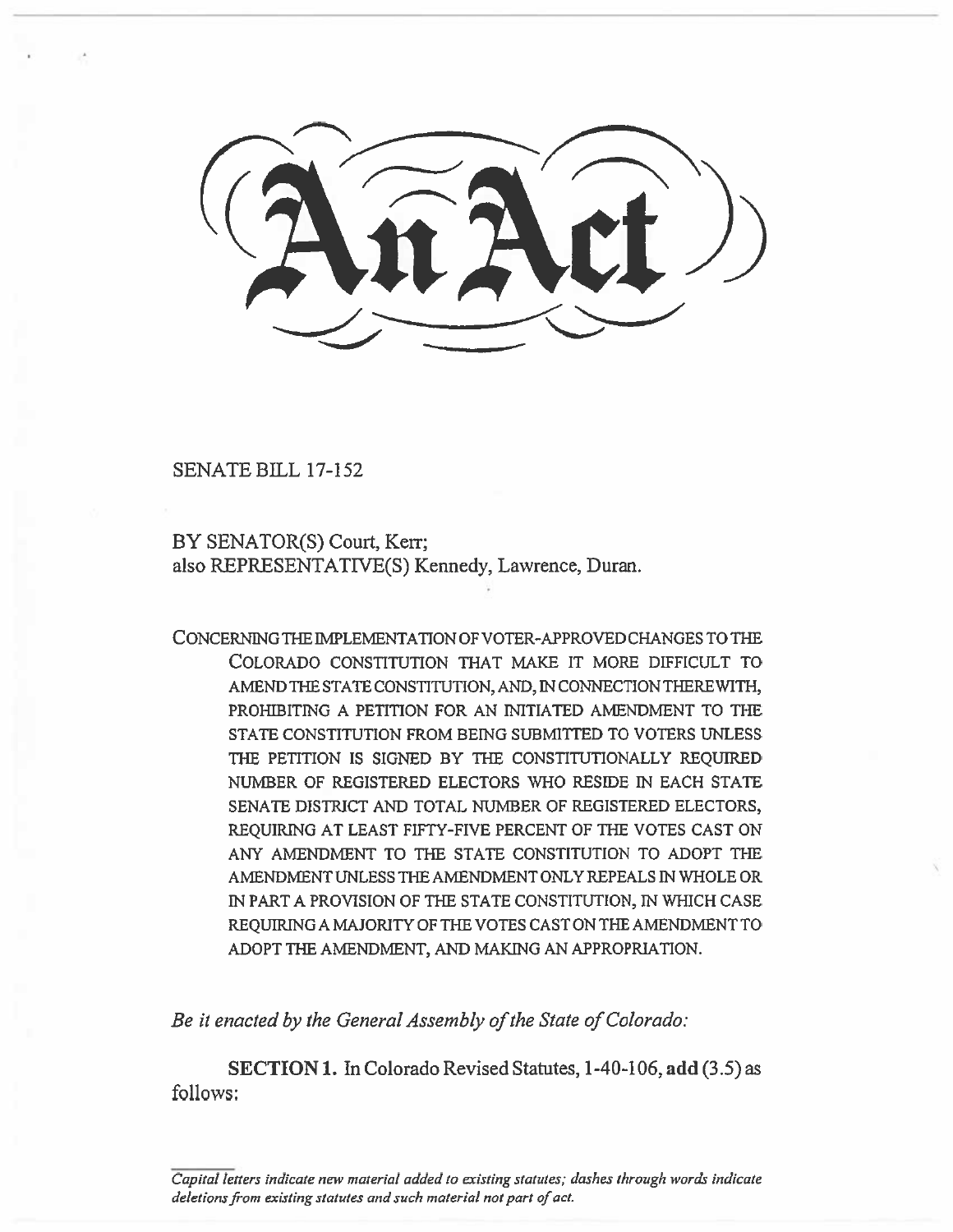SENATE BILL 17-152

BY SENATOR(S) Court, Kerr; also REPRESENTATIVE(S) Kennedy, Lawrence, Duran.

CONCERNING THE IMPLEMENTATION OF VOTER-APPROVED CHANGES TO THE COLORADO CONSTITUTION THAT MAKE IT MORE DIFFICULT TO AMEND THE STATE CONSTITUTION, AND, IN CONNECTION THEREWITH, PROHIBITING A PETITION FOR AN INITIATED AMENDMENT TO THE STATE CONSTITUTION FROM BEING SUBMITTED TO VOTERS UNLESS THE PETITION IS SIGNED BY THE CONSTITUTIONALLY REQUIRED NUMBER OF REGISTERED ELECTORS WHO RESIDE IN EACH STATE SENATE DISTRICT AND TOTAL NUMBER OF REGISTERED ELECTORS, REQUIRING AT LEAST FIFTY-FIVE PERCENT OF THE VOTES CAST ON ANY AMENDMENT TO THE STATE CONSTITUTION TO ADOPT THE AMENDMENT UNLESS THE AMENDMENT ONLY REPEALS IN WHOLE OR IN PART A PROVISION OF THE STATE CONSTITUTION, IN WHICH CASE REQUIRING A MAJORITY OF THE VOTES CAST ON THE AMENDMENT TO ADOPT THE AMENDMENT, AND MAKING AN APPROPRIATION.

*Be it enacted by the General Assembly of the State of Colorado:* 

**SECTION I. In** Colorado Revised Statutes, 1-40-106, **add (3.5) as**  follows:

*Capital letters indicate new material added to existing statutes; dashes through words indicate deletions from existing statutes and such material not part of act.*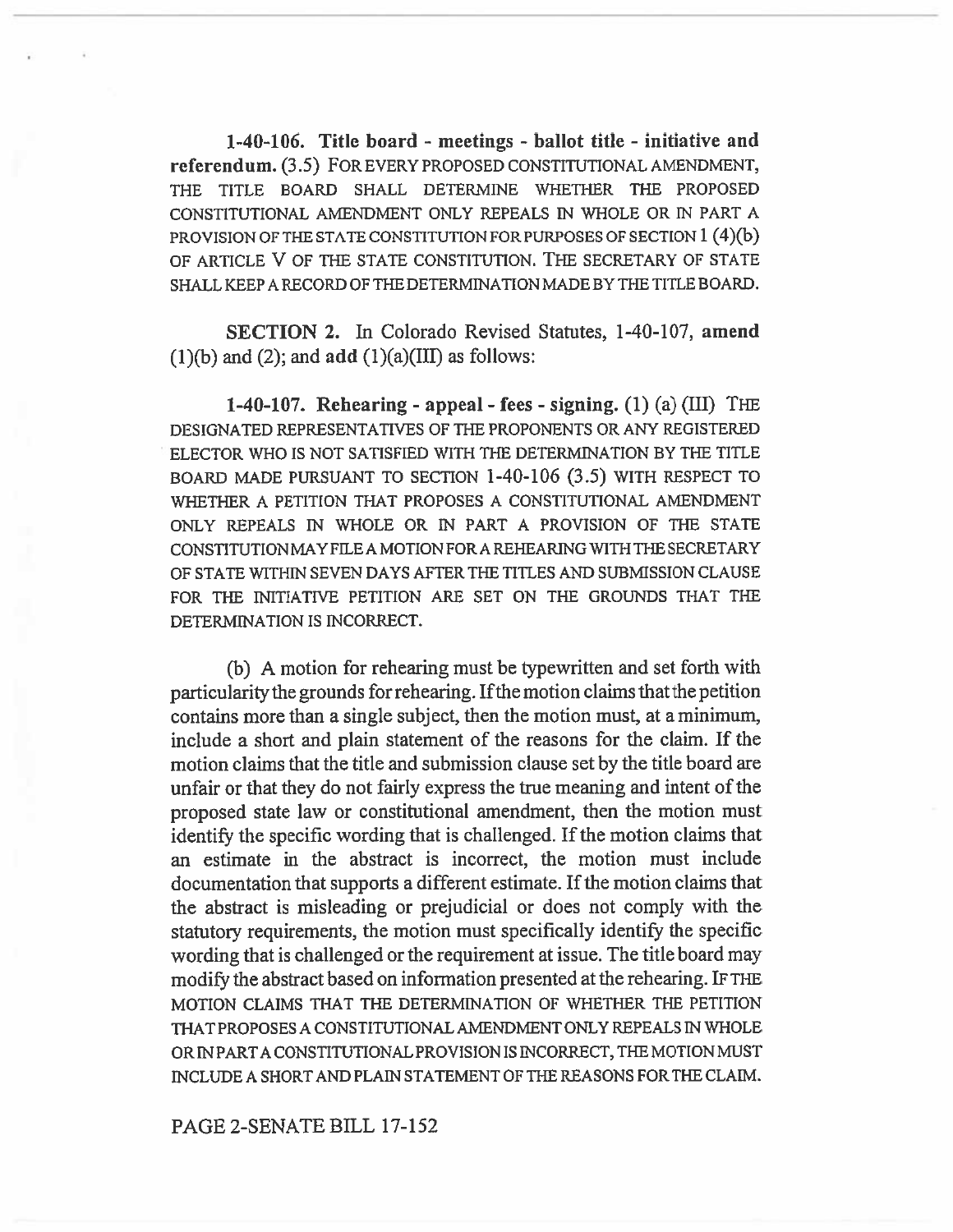**1-40-106. Title board - meetings - ballot title - initiative and referendum.** (3.5) FOR EVERY PROPOSED CONSTITUTIONAL AMENDMENT, THE TITLE BOARD SHALL DETERMINE WHETHER THE PROPOSED CONSTITUTIONAL AMENDMENT ONLY REPEALS IN WHOLE OR IN PART A PROVISION OF THE STATE CONSTITUTION FOR PURPOSES OF SECTION 1 (4)(b) OF ARTICLE V OF THE STATE CONSTITUTION. THE SECRETARY OF STATE SHALL KEEP A RECORD OF THE DETERMINATION MADE BY THE TITLE BOARD.

**SECTION 2.** In Colorado Revised Statutes, 1-40-107, **amend**  (1)(b) and (2); and **add (1)(a)(I11)** as follows:

**1-40-107. Rehearing - appeal - fees - signing. (1)** (a) (III) THE DESIGNATED REPRESENTATIVES OF THE PROPONENTS OR ANY REGISTERED ELECTOR WHO IS NOT SATISFIED WITH THE DETERMINATION BY THE TITLE BOARD MADE PURSUANT TO SECTION 1-40-106 (3.5) WITH RESPECT TO WHETHER A PETITION THAT PROPOSES A CONSTITUTIONAL AMENDMENT ONLY REPEALS IN WHOLE OR IN PART A PROVISION OF THE STATE CONSTITUTION MAY FILE A MOTION FOR A REHEARING WITH THE SECRETARY OF STATE WITHIN SEVEN DAYS AFTER THE TITLES AND SUBMISSION CLAUSE FOR THE INITIATIVE PETITION ARE SET ON THE GROUNDS THAT THE DETERMINATION IS INCORRECT.

(b) A motion for rehearing must be typewritten and set forth with particularity the grounds for rehearing. Ifthe motion claims that the petition contains more than a single subject, then the motion must, at a minimum, include a short and plain statement of the reasons for the claim. If the motion claims that the title and submission clause set by the title board are unfair or that they do not fairly express the true meaning and intent of the proposed state law or constitutional amendment, then the motion must identify the specific wording that is challenged. If the motion claims that an estimate in the abstract is incorrect, the motion must include documentation that supports a different estimate. If the motion claims that the abstract is misleading or prejudicial or does not comply with the statutory requirements, the motion must specifically identify the specific wording that is challenged or the requirement at issue. The title board may modify the abstract based on information presented at the rehearing. IF THE MOTION CLAIMS THAT THE DETERMINATION OF WHETHER THE PETITION THAT PROPOSES A CONSTITUTIONAL AMENDMENT ONLY REPEALS IN WHOLE OR IN PART A CONSTITUTIONAL PROVISION IS INCORRECT, THE MOTION MUST INCLUDE A SHORT AND PLAIN STATEMENT OF THE REASONS FOR THE CLAIM.

PAGE 2-SENATE BILL 17-152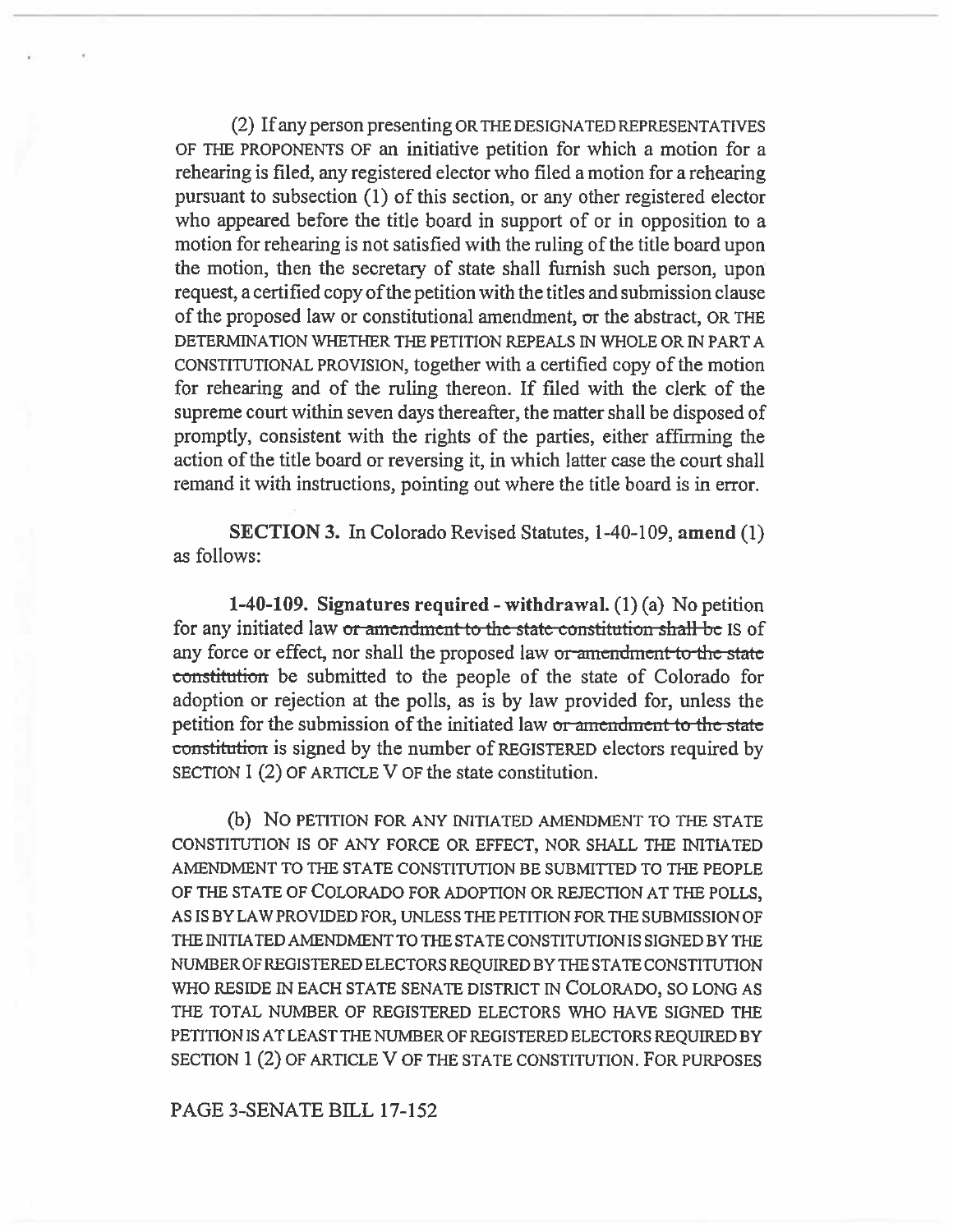(2) If any person presenting OR THE DESIGNATED REPRESENTATIVES OF THE PROPONENTS OF an initiative petition for which a motion for a rehearing is filed, any registered elector who filed a motion for a rehearing pursuant to subsection (1) of this section, or any other registered elector who appeared before the title board in support of or in opposition to a motion for rehearing is not satisfied with the ruling of the title board upon the motion, then the secretary of state shall furnish such person, upon request, a certified copy of the petition with the titles and submission clause of the proposed law or constitutional amendment, or the abstract, OR THE DETERMINATION WHETHER THE PETITION REPEALS IN WHOLE OR IN PART A CONSTITUTIONAL PROVISION, together with a certified copy of the motion for rehearing and of the ruling thereon. If filed with the clerk of the supreme court within seven days thereafter, the matter shall be disposed of promptly, consistent with the rights of the parties, either affirming the action of the title board or reversing it, in which latter case the court shall remand it with instructions, pointing out where the title board is in error.

SECTION 3. In Colorado Revised Statutes, 1-40-109, amend (1) as follows:

1-40-109. Signatures required - withdrawal.  $(1)(a)$  No petition for any initiated law or amendment to the state constitution shall be IS of any force or effect, nor shall the proposed law or amendment to the state constitution be submitted to the people of the state of Colorado for adoption or rejection at the polls, as is by law provided for, unless the petition for the submission of the initiated law or amendment to the state constitution is signed by the number of REGISTERED electors required by SECTION 1 (2) OF ARTICLE V OF the state constitution.

(b) NO PETITION FOR ANY INITIATED AMENDMENT TO THE STATE CONSTITUTION IS OF ANY FORCE OR EFFECT, NOR SHALL THE INITIATED AMENDMENT TO THE STATE CONSTITUTION BE SUBMITTED TO THE PEOPLE OF THE STATE OF COLORADO FOR ADOPTION OR REJECTION AT THE POLLS, AS IS BY LAW PROVIDED FOR, UNLESS THE PETITION FOR THE SUBMISSION OF THE INITIATED AMENDMENT TO THE STATE CONSTITUTION IS SIGNED BY THE NUMBER OF REGISTERED ELECTORS REQUIRED BY THE STATE CONSTITUTION WHO RESIDE IN EACH STATE SENATE DISTRICT IN COLORADO, SO LONG AS THE TOTAL NUMBER OF REGISTERED ELECTORS WHO HAVE SIGNED THE PETITION IS AT LEAST THE NUMBER OF REGISTERED ELECTORS REQUIRED BY SECTION 1 (2) OF ARTICLE V OF THE STATE CONSTITUTION. FOR PURPOSES

## PAGE 3-SENATE BILL 17-152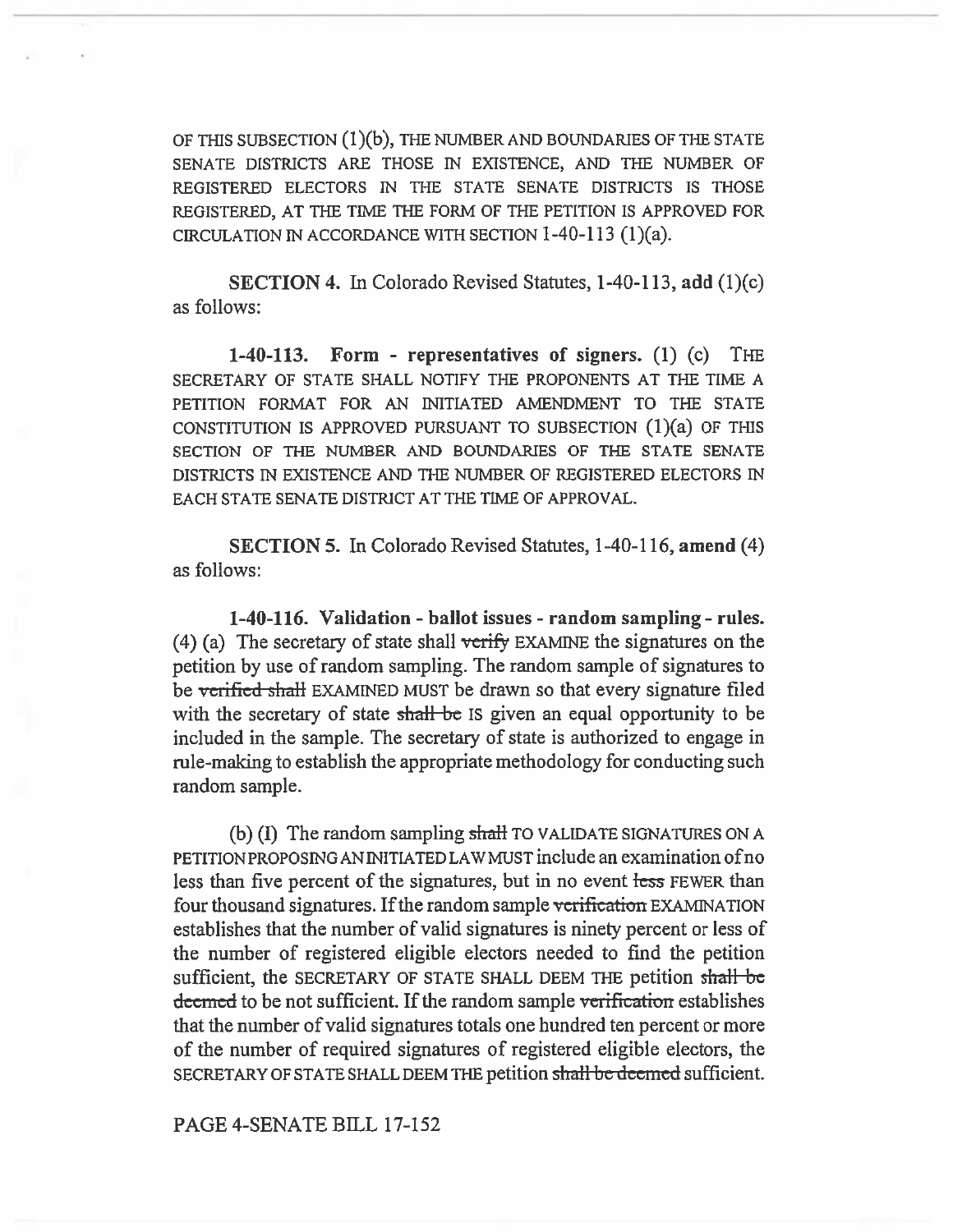OF THIS SUBSECTION (1)(b), THE NUMBER AND BOUNDARIES OF THE STATE SENATE DISTRICTS ARE THOSE IN EXISTENCE, AND THE NUMBER OF REGISTERED ELECTORS IN THE STATE SENATE DISTRICTS IS THOSE REGISTERED, AT THE TIME THE FORM OF THE PETITION IS APPROVED FOR CIRCULATION IN ACCORDANCE WITH SECTION 1-40-113 **(1)(a).** 

SECTION 4. In Colorado Revised Statutes, 1-40-113, add (1)(c) as follows:

1-40-113. Form - representatives of signers. (1) (c) THE SECRETARY OF STATE SHALL NOTIFY THE PROPONENTS AT THE TIME A PETITION FORMAT FOR AN INITIATED AMENDMENT TO THE STATE CONSTITUTION IS APPROVED PURSUANT TO SUBSECTION  $(1)(a)$  OF THIS SECTION OF THE NUMBER AND BOUNDARIES OF THE STATE SENATE DISTRICTS IN EXISTENCE AND THE NUMBER OF REGISTERED ELECTORS IN EACH STATE SENATE DISTRICT AT THE TIME OF APPROVAL.

SECTION 5. In Colorado Revised Statutes, 1-40-116, amend (4) as follows:

**1-40-116. Validation - ballot** issues - random sampling - rules. (4) (a) The secretary of state shall verify EXAMINE the signatures on the petition by use of random sampling. The random sample of signatures to be verified shall EXAMINED MUST be drawn so that every signature filed with the secretary of state shall be IS given an equal opportunity to be included in the sample. The secretary of state is authorized to engage in rule-making to establish the appropriate methodology for conducting such random sample.

(b)  $(I)$  The random sampling shall TO VALIDATE SIGNATURES ON A PETITION PROPOSING AN INITIATED LAW MUST include an examination ofno less than five percent of the signatures, but in no event less FEWER than four thousand signatures. If the random sample verification EXAMINATION establishes that the number of valid signatures is ninety percent or less of the number of registered eligible electors needed to find the petition sufficient, the SECRETARY OF STATE SHALL DEEM THE petition sh**a**ll decentlered to be not sufficient. If the random sample verification establishes that the number of valid signatures totals one hundred ten percent or more of the number of required signatures of registered eligible electors, the SECRETARY OF STATE SHALL DEEM THE petition shall be deemed sufficient.

PAGE 4-SENATE BILL 17-152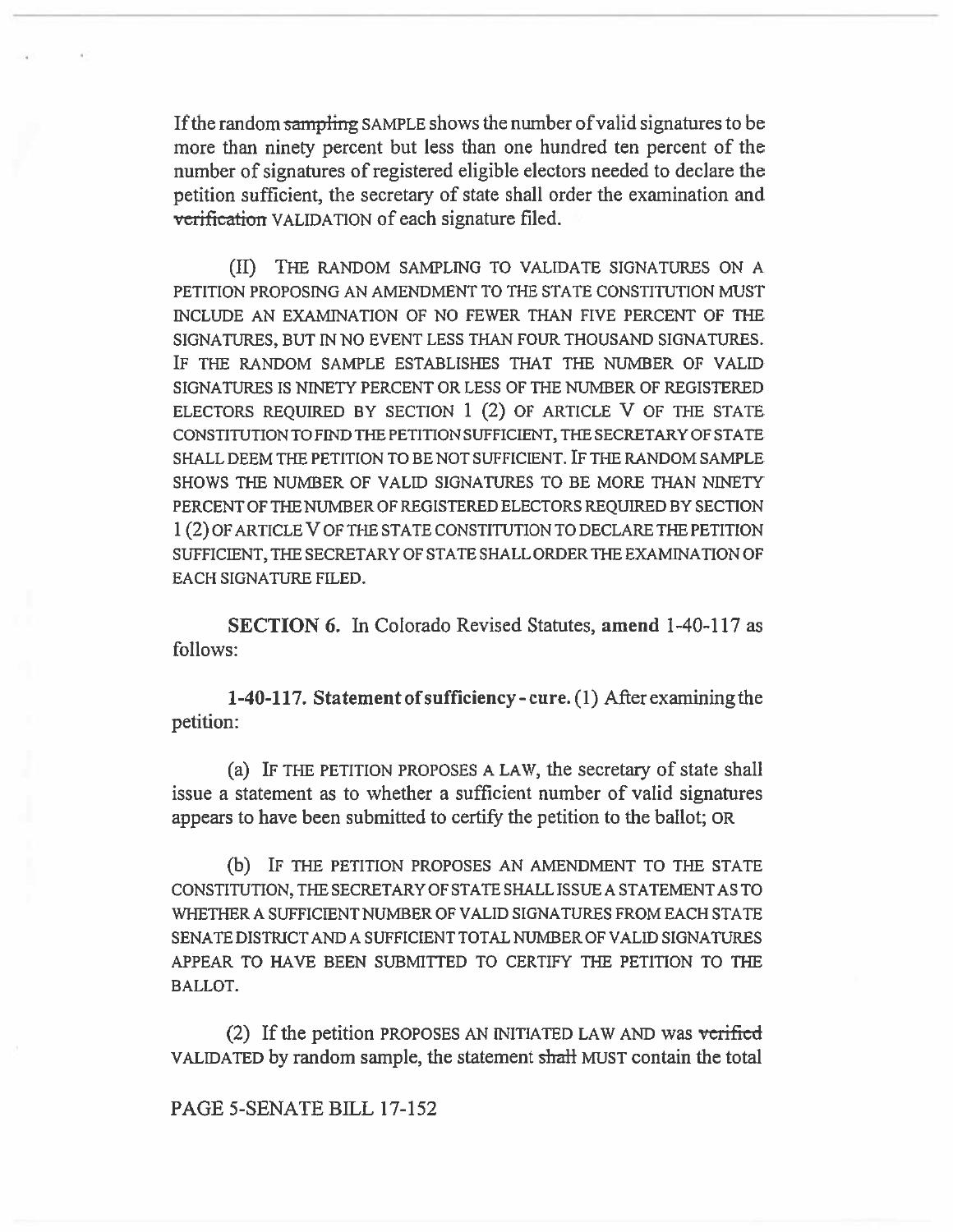If the random sampling SAMPLE shows the number of valid signatures to be more than ninety percent but less than one hundred ten percent of the number of signatures of registered eligible electors needed to declare the petition sufficient, the secretary of state shall order the examination and verification VALIDATION of each signature filed.

(II) THE RANDOM SAMPLING TO VALIDATE SIGNATURES ON A PETITION PROPOSING AN AMENDMENT TO THE STATE CONSTITUTION MUST INCLUDE AN EXAMINATION OF NO FEWER THAN FIVE PERCENT OF THE SIGNATURES, BUT IN NO EVENT LESS THAN FOUR THOUSAND SIGNATURES. IF THE RANDOM SAMPLE ESTABLISHES THAT THE NUMBER OF VALID SIGNATURES IS NINETY PERCENT OR LESS OF THE NUMBER OF REGISTERED ELECTORS REQUIRED BY SECTION 1 (2) OF ARTICLE V OF THE STATE CONSTITUTION TO FIND THE PETITION SUFFICIENT, THE SECRETARY OF STATE SHALL DEEM THE PETITION TO BE NOT SUFFICIENT. IF THE RANDOM SAMPLE SHOWS THE NUMBER OF VALID SIGNATURES TO BE MORE THAN NINETY PERCENT OF THE NUMBER OF REGISTERED ELECTORS REQUIRED BY SECTION 1(2) OF ARTICLE V OF THE STATE CONSTITUTION TO DECLARE THE PETITION SUFFICIENT, THE SECRETARY OF STATE SHALL ORDER THE EXAMINATION OF EACH SIGNATURE FILED.

**SECTION 6.** In Colorado Revised Statutes, **amend 1-40-117** as follows:

**1-40-117. Statement of sufficiency - cure.** (1) After examining the petition:

(a) IF THE PETITION PROPOSES A LAW, the secretary of state shall issue a statement as to whether a sufficient number of valid signatures appears to have been submitted to certify the petition to the ballot; OR

(b) IF THE PETITION PROPOSES AN AMENDMENT TO THE STATE CONSTITUTION, THE SECRETARY OF STATE SHALL ISSUE A STATEMENT AS TO WHETHER A SUFFICIENT NUMBER OF VALID SIGNATURES FROM EACH STATE SENATE DISTRICT AND A SUFFICIENT TOTAL NUMBER OF VALID SIGNATURES APPEAR TO HAVE BEEN SUBMITTED TO CERTIFY THE PETITION TO THE BALLOT.

(2) If the petition PROPOSES AN INITIATED LAW AND was verified VALIDATED by random sample, the statement shall MUST contain the total

## PAGE 5-SENATE BILL 17-152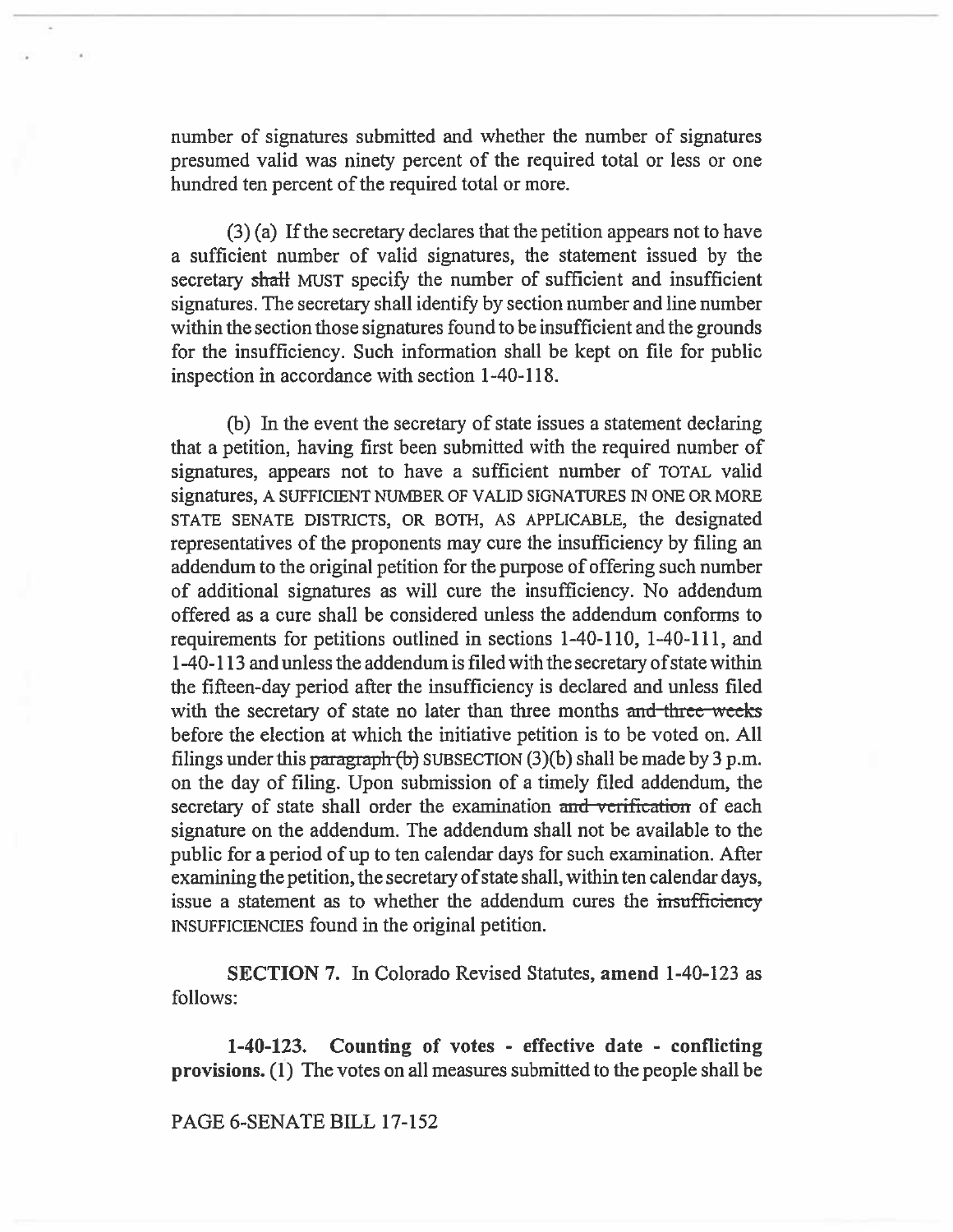number of signatures submitted and whether the number of signatures presumed valid was ninety percent of the required total or less or one hundred ten percent of the required total or more.

(3) (a) If the secretary declares that the petition appears not to have a sufficient number of valid signatures, the statement issued by the secretary shall MUST specify the number of sufficient and insufficient signatures. The secretary shall identify by section number and line number within the section those signatures found to be insufficient and the grounds for the insufficiency. Such information shall be kept on file for public inspection in accordance with section 1-40-118.

(b) In the event the secretary of state issues a statement declaring that a petition, having first been submitted with the required number of signatures, appears not to have a sufficient number of TOTAL valid signatures, A SUFFICIENT NUMBER OF VALID SIGNATURES IN ONE OR MORE STATE SENATE DISTRICTS, OR BOTH, AS APPLICABLE, the designated representatives of the proponents may cure the insufficiency by filing an addendum to the original petition for the purpose of offering such number of additional signatures as will cure the insufficiency. No addendum offered as a cure shall be considered unless the addendum conforms to requirements for petitions outlined in sections 1-40-110, 1-40-111, and 1-40-113 and unless the addendum is filed with the secretary of state within the fifteen-day period after the insufficiency is declared and unless filed with the secretary of state no later than three months and three weeks before the election at which the initiative petition is to be voted on. **All**  filings under this paragraph (b) SUBSECTION (3)(b) shall be made by 3 p.m. on the day of filing. Upon submission of a timely filed addendum, the secretary of state shall order the examination and verification of each signature on the addendum. The addendum shall not be available to the public for a period of up to ten calendar days for such examination. After examining the petition, the secretary of state shall, within ten calendar days, issue a statement as to whether the addendum cures the insufficiency INSUFFICIENCIES found in the original petition.

**SECTION 7.** In Colorado Revised Statutes, **amend** 1-40-123 as follows:

**1-40-123. Counting of votes - effective date - conflicting provisions. (1)** The votes on all measures submitted to the people shall be

PAGE 6-SENATE **BILL** 17-152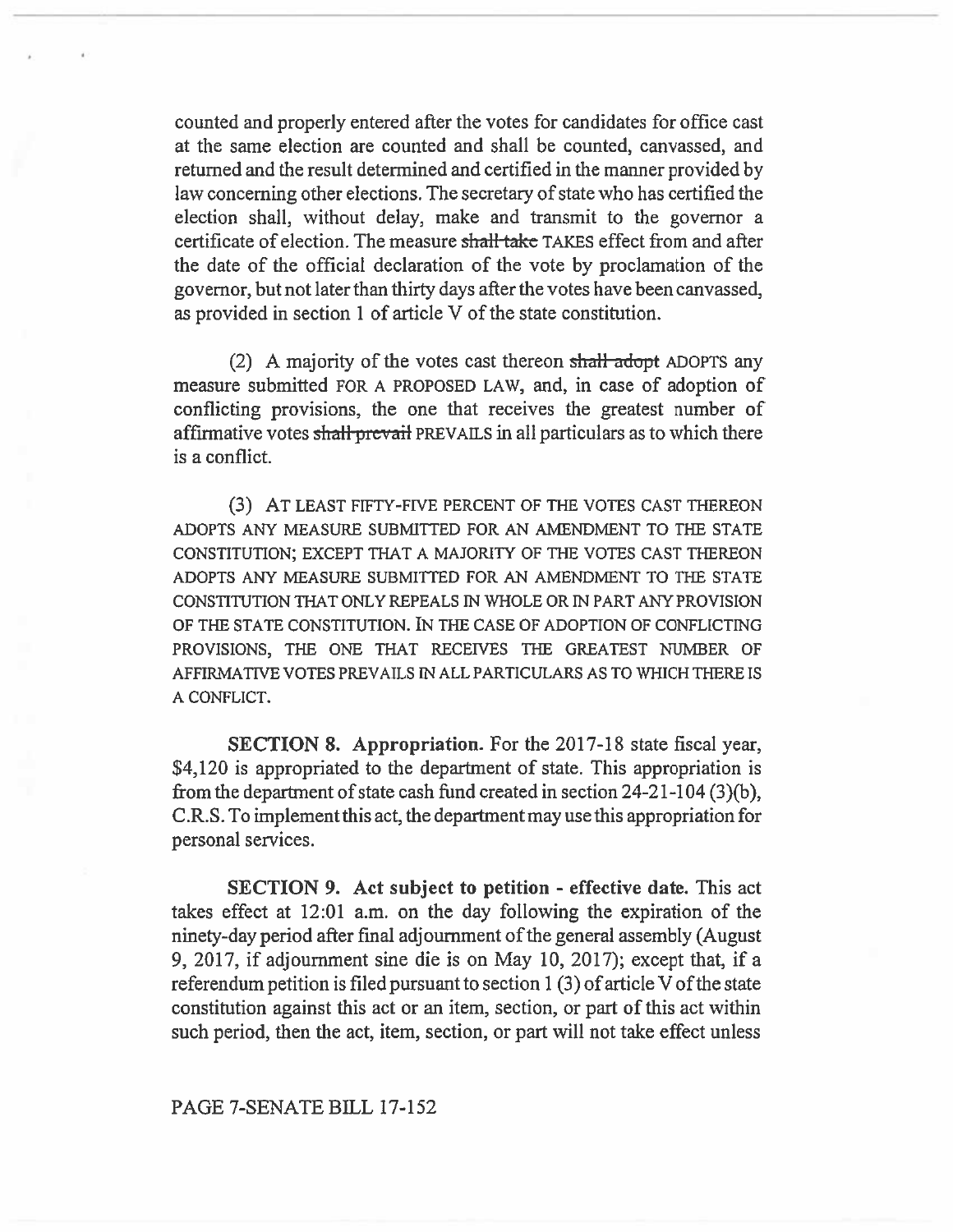counted and properly entered after the votes for candidates for office cast at the same election are counted and shall be counted, canvassed, and returned and the result determined and certified in the manner provided by law concerning other elections. The secretary of state who has certified the election shall, without delay, make and transmit to the governor a certificate of election. The measure shall take TAKES effect from and after the date of the official declaration of the vote by proclamation of the governor, but not later than thirty days after the votes have been canvassed, as provided in section 1 of article V of the state constitution.

(2) A majority of the votes cast thereon shall-adopt ADOPTS any measure submitted FOR A PROPOSED LAW, and, in case of adoption of conflicting provisions, the one that receives the greatest number of affirmative votes shall-prevail PREVAILS in all particulars as to which there is a conflict.

(3) AT LEAST FIFTY-FIVE PERCENT OF THE VOTES CAST THEREON ADOPTS ANY MEASURE SUBMITTED FOR AN AMENDMENT TO THE STATE CONSTITUTION; EXCEPT THAT A MAJORITY OF THE VOTES CAST THEREON ADOPTS ANY MEASURE SUBMITTED FOR AN AMENDMENT TO THE STATE CONSTITUTION THAT ONLY REPEALS IN WHOLE OR IN PART ANY PROVISION OF THE STATE CONSTITUTION. IN THE CASE OF ADOPTION OF CONFLICTING PROVISIONS, THE ONE THAT RECEIVES THE GREATEST NUMBER OF AFFIRMATIVE VOTES PREVAILS IN ALL PARTICULARS AS TO WHICH THERE IS A CONFLICT.

SECTION 8. Appropriation. For the 2017-18 state fiscal year, \$4,120 is appropriated to the department of state. This appropriation is from the department of state cash fund created in section 24-21-104 (3)(b), C.R.S. To implement this act, the department may use this appropriation for personal services.

**SECTION 9. Act subject to petition - effective date. This** act takes effect at 12:01 a.m. on the day following the expiration of the ninety-day period after final adjournment of the general assembly (August 9, 2017, if adjournment sine die is on May 10, 2017); except **that, if** a referendum petition is filed pursuant to section 1 (3) of article V of the state constitution against this act or an item, section, or part of this act within such period, then the act, item, section, or part will not take effect unless

## PAGE 7-SENATE BILL 17-152